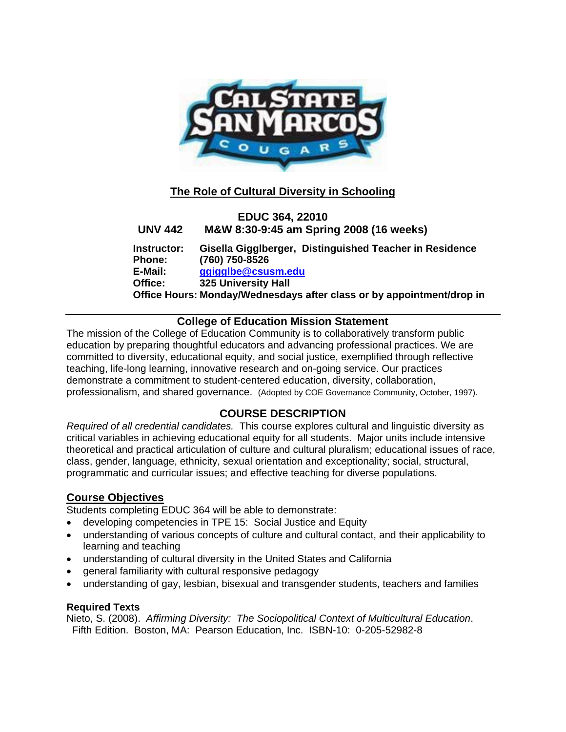

# **The Role of Cultural Diversity in Schooling**

# **EDUC 364, 22010 UNV 442 M&W 8:30-9:45 am Spring 2008 (16 weeks) Instructor: Gisella Gigglberger, Distinguished Teacher in Residence Phone: (760) 750-8526 E-Mail: ggigglbe@csusm.edu Office: 325 University Hall Office Hours: Monday/Wednesdays after class or by appointment/drop in**

## **College of Education Mission Statement**

The mission of the College of Education Community is to collaboratively transform public education by preparing thoughtful educators and advancing professional practices. We are committed to diversity, educational equity, and social justice, exemplified through reflective teaching, life-long learning, innovative research and on-going service. Our practices demonstrate a commitment to student-centered education, diversity, collaboration, professionalism, and shared governance. (Adopted by COE Governance Community, October, 1997).

# **COURSE DESCRIPTION**

*Required of all credential candidates.* This course explores cultural and linguistic diversity as critical variables in achieving educational equity for all students. Major units include intensive theoretical and practical articulation of culture and cultural pluralism; educational issues of race, class, gender, language, ethnicity, sexual orientation and exceptionality; social, structural, programmatic and curricular issues; and effective teaching for diverse populations.

## **Course Objectives**

Students completing EDUC 364 will be able to demonstrate:

- developing competencies in TPE 15: Social Justice and Equity
- understanding of various concepts of culture and cultural contact, and their applicability to learning and teaching
- understanding of cultural diversity in the United States and California
- general familiarity with cultural responsive pedagogy
- understanding of gay, lesbian, bisexual and transgender students, teachers and families

### **Required Texts**

Nieto, S. (2008). *Affirming Diversity: The Sociopolitical Context of Multicultural Education*. Fifth Edition. Boston, MA: Pearson Education, Inc. ISBN-10: 0-205-52982-8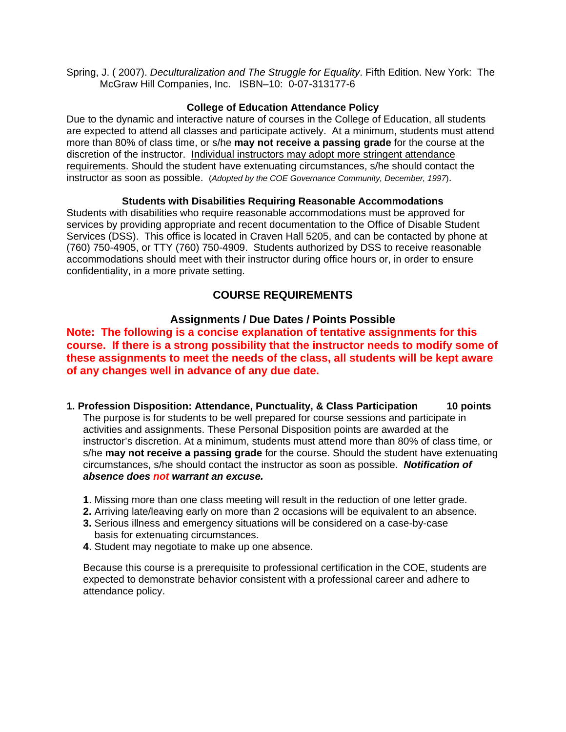Spring, J. ( 2007). *Deculturalization and The Struggle for Equality*. Fifth Edition. New York: The McGraw Hill Companies, Inc. ISBN–10: 0-07-313177-6

#### **College of Education Attendance Policy**

Due to the dynamic and interactive nature of courses in the College of Education, all students are expected to attend all classes and participate actively. At a minimum, students must attend more than 80% of class time, or s/he **may not receive a passing grade** for the course at the discretion of the instructor. Individual instructors may adopt more stringent attendance requirements. Should the student have extenuating circumstances, s/he should contact the instructor as soon as possible. (*Adopted by the COE Governance Community, December, 1997*).

#### **Students with Disabilities Requiring Reasonable Accommodations**

Students with disabilities who require reasonable accommodations must be approved for services by providing appropriate and recent documentation to the Office of Disable Student Services (DSS). This office is located in Craven Hall 5205, and can be contacted by phone at (760) 750-4905, or TTY (760) 750-4909. Students authorized by DSS to receive reasonable accommodations should meet with their instructor during office hours or, in order to ensure confidentiality, in a more private setting.

## **COURSE REQUIREMENTS**

### **Assignments / Due Dates / Points Possible**

**Note: The following is a concise explanation of tentative assignments for this course. If there is a strong possibility that the instructor needs to modify some of these assignments to meet the needs of the class, all students will be kept aware of any changes well in advance of any due date.** 

- **1. Profession Disposition: Attendance, Punctuality, & Class Participation 10 points** The purpose is for students to be well prepared for course sessions and participate in activities and assignments. These Personal Disposition points are awarded at the instructor's discretion. At a minimum, students must attend more than 80% of class time, or s/he **may not receive a passing grade** for the course. Should the student have extenuating circumstances, s/he should contact the instructor as soon as possible. *Notification of absence does not warrant an excuse.* 
	- **1**. Missing more than one class meeting will result in the reduction of one letter grade.
	- **2.** Arriving late/leaving early on more than 2 occasions will be equivalent to an absence.
	- **3.** Serious illness and emergency situations will be considered on a case-by-case basis for extenuating circumstances.
	- **4**. Student may negotiate to make up one absence.

Because this course is a prerequisite to professional certification in the COE, students are expected to demonstrate behavior consistent with a professional career and adhere to attendance policy.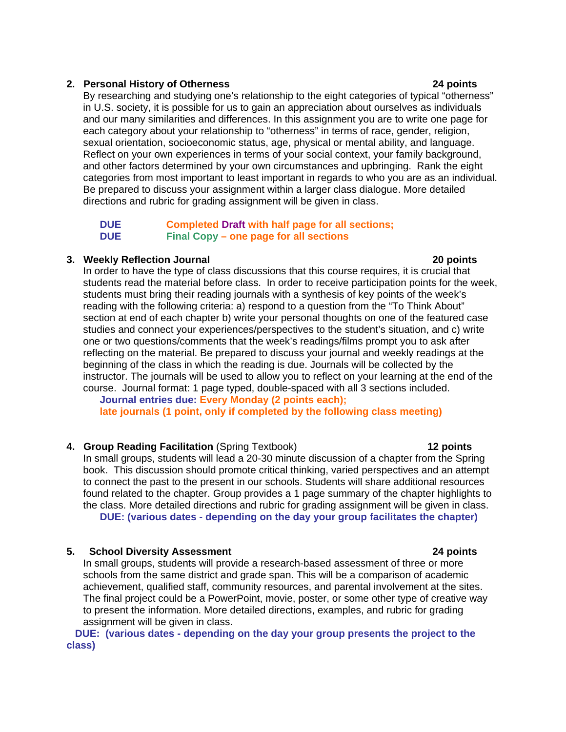#### **2. Personal History of Otherness 24 points**

By researching and studying one's relationship to the eight categories of typical "otherness" in U.S. society, it is possible for us to gain an appreciation about ourselves as individuals and our many similarities and differences. In this assignment you are to write one page for each category about your relationship to "otherness" in terms of race, gender, religion, sexual orientation, socioeconomic status, age, physical or mental ability, and language. Reflect on your own experiences in terms of your social context, your family background, and other factors determined by your own circumstances and upbringing. Rank the eight categories from most important to least important in regards to who you are as an individual. Be prepared to discuss your assignment within a larger class dialogue. More detailed directions and rubric for grading assignment will be given in class.

#### **DUE Completed Draft with half page for all sections; DUE Final Copy – one page for all sections**

#### **3. Weekly Reflection Journal 20 points**

In order to have the type of class discussions that this course requires, it is crucial that students read the material before class. In order to receive participation points for the week, students must bring their reading journals with a synthesis of key points of the week's reading with the following criteria: a) respond to a question from the "To Think About" section at end of each chapter b) write your personal thoughts on one of the featured case studies and connect your experiences/perspectives to the student's situation, and c) write one or two questions/comments that the week's readings/films prompt you to ask after reflecting on the material. Be prepared to discuss your journal and weekly readings at the beginning of the class in which the reading is due. Journals will be collected by the instructor. The journals will be used to allow you to reflect on your learning at the end of the course. Journal format: 1 page typed, double-spaced with all 3 sections included.

 **Journal entries due: Every Monday (2 points each); late journals (1 point, only if completed by the following class meeting)** 

### **4. Group Reading Facilitation** (Spring Textbook) **12 points**

In small groups, students will lead a 20-30 minute discussion of a chapter from the Spring book. This discussion should promote critical thinking, varied perspectives and an attempt to connect the past to the present in our schools. Students will share additional resources found related to the chapter. Group provides a 1 page summary of the chapter highlights to the class. More detailed directions and rubric for grading assignment will be given in class. **DUE: (various dates - depending on the day your group facilitates the chapter)** 

### **5. School Diversity Assessment 24 points**

In small groups, students will provide a research-based assessment of three or more schools from the same district and grade span. This will be a comparison of academic achievement, qualified staff, community resources, and parental involvement at the sites. The final project could be a PowerPoint, movie, poster, or some other type of creative way to present the information. More detailed directions, examples, and rubric for grading assignment will be given in class.

 **DUE: (various dates - depending on the day your group presents the project to the class)**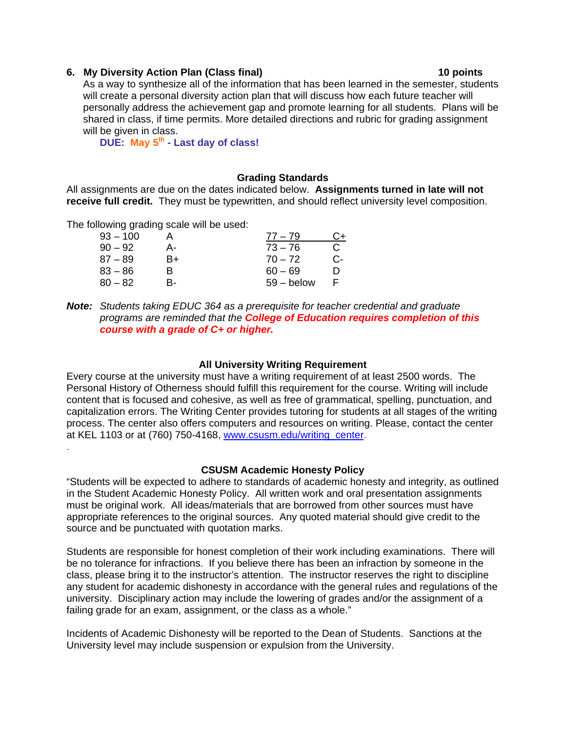#### **6. My Diversity Action Plan (Class final) 10 points**

As a way to synthesize all of the information that has been learned in the semester, students will create a personal diversity action plan that will discuss how each future teacher will personally address the achievement gap and promote learning for all students. Plans will be shared in class, if time permits. More detailed directions and rubric for grading assignment will be given in class.

 **DUE: May 5th - Last day of class!**

#### **Grading Standards**

All assignments are due on the dates indicated below. **Assignments turned in late will not receive full credit.** They must be typewritten, and should reflect university level composition.

The following grading scale will be used:

.

| $93 - 100$ |    | $77 - 79$    | C+ |
|------------|----|--------------|----|
| $90 - 92$  | А- | $73 - 76$    | C  |
| $87 - 89$  | B+ | $70 - 72$    | С- |
| $83 - 86$  | R  | $60 - 69$    | m  |
| $80 - 82$  | R- | $59 -$ below |    |

*Note: Students taking EDUC 364 as a prerequisite for teacher credential and graduate programs are reminded that the College of Education requires completion of this course with a grade of C+ or higher.* 

#### **All University Writing Requirement**

Every course at the university must have a writing requirement of at least 2500 words. The Personal History of Otherness should fulfill this requirement for the course. Writing will include content that is focused and cohesive, as well as free of grammatical, spelling, punctuation, and capitalization errors. The Writing Center provides tutoring for students at all stages of the writing process. The center also offers computers and resources on writing. Please, contact the center at KEL 1103 or at (760) 750-4168, www.csusm.edu/writing\_center.

### **CSUSM Academic Honesty Policy**

"Students will be expected to adhere to standards of academic honesty and integrity, as outlined in the Student Academic Honesty Policy. All written work and oral presentation assignments must be original work. All ideas/materials that are borrowed from other sources must have appropriate references to the original sources. Any quoted material should give credit to the source and be punctuated with quotation marks.

Students are responsible for honest completion of their work including examinations. There will be no tolerance for infractions. If you believe there has been an infraction by someone in the class, please bring it to the instructor's attention. The instructor reserves the right to discipline any student for academic dishonesty in accordance with the general rules and regulations of the university. Disciplinary action may include the lowering of grades and/or the assignment of a failing grade for an exam, assignment, or the class as a whole."

Incidents of Academic Dishonesty will be reported to the Dean of Students. Sanctions at the University level may include suspension or expulsion from the University.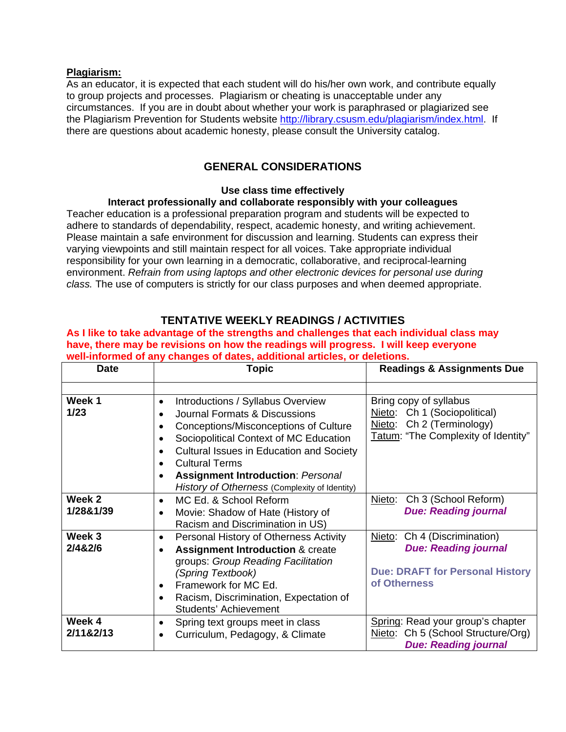#### **Plagiarism:**

As an educator, it is expected that each student will do his/her own work, and contribute equally to group projects and processes. Plagiarism or cheating is unacceptable under any circumstances. If you are in doubt about whether your work is paraphrased or plagiarized see the Plagiarism Prevention for Students website http://library.csusm.edu/plagiarism/index.html. If there are questions about academic honesty, please consult the University catalog.

# **GENERAL CONSIDERATIONS**

#### **Use class time effectively**

### **Interact professionally and collaborate responsibly with your colleagues**

Teacher education is a professional preparation program and students will be expected to adhere to standards of dependability, respect, academic honesty, and writing achievement. Please maintain a safe environment for discussion and learning. Students can express their varying viewpoints and still maintain respect for all voices. Take appropriate individual responsibility for your own learning in a democratic, collaborative, and reciprocal-learning environment. *Refrain from using laptops and other electronic devices for personal use during class.* The use of computers is strictly for our class purposes and when deemed appropriate.

## **TENTATIVE WEEKLY READINGS / ACTIVITIES**

**As I like to take advantage of the strengths and challenges that each individual class may have, there may be revisions on how the readings will progress. I will keep everyone well-informed of any changes of dates, additional articles, or deletions.** 

| <b>Date</b>         | <b>Topic</b>                                                                                                                                                                                                                                                                                                                                      | <b>Readings &amp; Assignments Due</b>                                                                                            |
|---------------------|---------------------------------------------------------------------------------------------------------------------------------------------------------------------------------------------------------------------------------------------------------------------------------------------------------------------------------------------------|----------------------------------------------------------------------------------------------------------------------------------|
|                     |                                                                                                                                                                                                                                                                                                                                                   |                                                                                                                                  |
| Week 1<br>1/23      | Introductions / Syllabus Overview<br>$\bullet$<br>Journal Formats & Discussions<br>Conceptions/Misconceptions of Culture<br>Sociopolitical Context of MC Education<br>Cultural Issues in Education and Society<br><b>Cultural Terms</b><br>$\bullet$<br><b>Assignment Introduction: Personal</b><br>History of Otherness (Complexity of Identity) | Bring copy of syllabus<br>Nieto: Ch 1 (Sociopolitical)<br>Nieto: Ch 2 (Terminology)<br>Tatum: "The Complexity of Identity"       |
| Week 2              | MC Ed. & School Reform<br>$\bullet$                                                                                                                                                                                                                                                                                                               | Ch 3 (School Reform)<br>Nieto:                                                                                                   |
| 1/28&1/39           | Movie: Shadow of Hate (History of<br>Racism and Discrimination in US)                                                                                                                                                                                                                                                                             | <b>Due: Reading journal</b>                                                                                                      |
| Week 3<br>2/4&2/6   | Personal History of Otherness Activity<br>$\bullet$<br><b>Assignment Introduction &amp; create</b><br>$\bullet$<br>groups: Group Reading Facilitation<br>(Spring Textbook)<br>Framework for MC Ed.<br>$\bullet$<br>Racism, Discrimination, Expectation of<br>Students' Achievement                                                                | Ch 4 (Discrimination)<br><u>Nieto</u> :<br><b>Due: Reading journal</b><br><b>Due: DRAFT for Personal History</b><br>of Otherness |
| Week 4<br>2/11&2/13 | Spring text groups meet in class<br>٠<br>Curriculum, Pedagogy, & Climate<br>$\bullet$                                                                                                                                                                                                                                                             | Spring: Read your group's chapter<br>Nieto: Ch 5 (School Structure/Org)<br><b>Due: Reading journal</b>                           |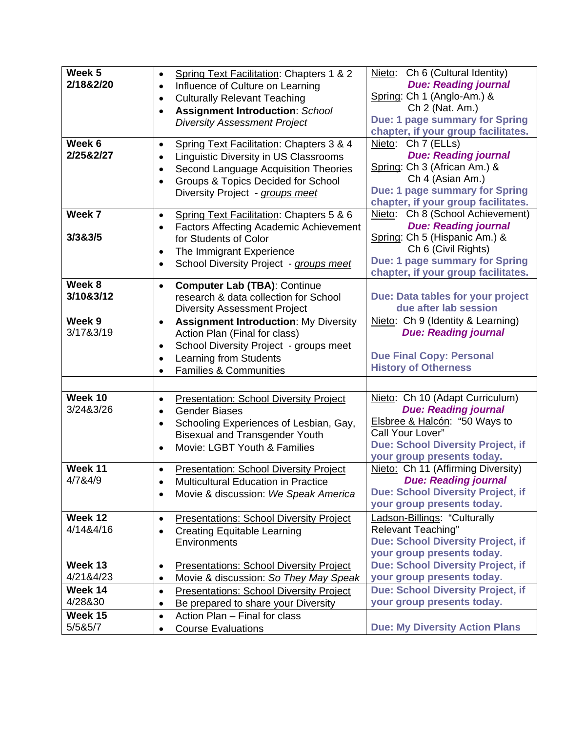| Week 5    | Spring Text Facilitation: Chapters 1 & 2                    | Nieto: Ch 6 (Cultural Identity)                                       |
|-----------|-------------------------------------------------------------|-----------------------------------------------------------------------|
| 2/18&2/20 | Influence of Culture on Learning<br>$\bullet$               | <b>Due: Reading journal</b>                                           |
|           | <b>Culturally Relevant Teaching</b><br>$\bullet$            | Spring: Ch 1 (Anglo-Am.) &                                            |
|           | <b>Assignment Introduction: School</b><br>$\bullet$         | Ch 2 (Nat. Am.)                                                       |
|           | <b>Diversity Assessment Project</b>                         | Due: 1 page summary for Spring                                        |
|           |                                                             | chapter, if your group facilitates.                                   |
| Week 6    | Spring Text Facilitation: Chapters 3 & 4<br>$\bullet$       | Nieto: Ch 7 (ELLs)                                                    |
| 2/25&2/27 | <b>Linguistic Diversity in US Classrooms</b><br>$\bullet$   | <b>Due: Reading journal</b>                                           |
|           | Second Language Acquisition Theories<br>$\bullet$           | Spring: Ch 3 (African Am.) &                                          |
|           | Groups & Topics Decided for School<br>$\bullet$             | Ch 4 (Asian Am.)                                                      |
|           | Diversity Project - groups meet                             | Due: 1 page summary for Spring                                        |
|           |                                                             | chapter, if your group facilitates.                                   |
| Week 7    | Spring Text Facilitation: Chapters 5 & 6<br>$\bullet$       | Nieto: Ch 8 (School Achievement)                                      |
|           | <b>Factors Affecting Academic Achievement</b>               | <b>Due: Reading journal</b>                                           |
| 3/3&3/5   | for Students of Color                                       | Spring: Ch 5 (Hispanic Am.) &                                         |
|           | The Immigrant Experience<br>$\bullet$                       | Ch 6 (Civil Rights)                                                   |
|           | School Diversity Project - groups meet<br>$\bullet$         | Due: 1 page summary for Spring<br>chapter, if your group facilitates. |
| Week 8    | <b>Computer Lab (TBA): Continue</b><br>$\bullet$            |                                                                       |
| 3/10&3/12 | research & data collection for School                       | Due: Data tables for your project                                     |
|           | <b>Diversity Assessment Project</b>                         | due after lab session                                                 |
| Week 9    | <b>Assignment Introduction: My Diversity</b><br>$\bullet$   | Nieto: Ch 9 (Identity & Learning)                                     |
| 3/17&3/19 | Action Plan (Final for class)                               | <b>Due: Reading journal</b>                                           |
|           | School Diversity Project - groups meet<br>$\bullet$         |                                                                       |
|           | Learning from Students                                      | <b>Due Final Copy: Personal</b>                                       |
|           | <b>Families &amp; Communities</b><br>$\bullet$              | <b>History of Otherness</b>                                           |
|           |                                                             |                                                                       |
| Week 10   | <b>Presentation: School Diversity Project</b><br>$\bullet$  | Nieto: Ch 10 (Adapt Curriculum)                                       |
| 3/24&3/26 | <b>Gender Biases</b><br>$\bullet$                           | <b>Due: Reading journal</b>                                           |
|           | Schooling Experiences of Lesbian, Gay,<br>$\bullet$         | Elsbree & Halcón: "50 Ways to                                         |
|           | <b>Bisexual and Transgender Youth</b>                       | Call Your Lover"                                                      |
|           | Movie: LGBT Youth & Families                                | <b>Due: School Diversity Project, if</b>                              |
|           |                                                             | your group presents today.                                            |
| Week 11   | <b>Presentation: School Diversity Project</b>               | Nieto: Ch 11 (Affirming Diversity)                                    |
| 4/7&4/9   | <b>Multicultural Education in Practice</b>                  | Due: Reading journal                                                  |
|           | Movie & discussion: We Speak America<br>$\bullet$           | <b>Due: School Diversity Project, if</b>                              |
|           |                                                             | your group presents today.                                            |
| Week 12   | <b>Presentations: School Diversity Project</b><br>$\bullet$ | Ladson-Billings: "Culturally                                          |
| 4/14&4/16 | <b>Creating Equitable Learning</b><br>$\bullet$             | <b>Relevant Teaching"</b>                                             |
|           | Environments                                                | <b>Due: School Diversity Project, if</b>                              |
|           |                                                             | your group presents today.                                            |
| Week 13   | <b>Presentations: School Diversity Project</b><br>$\bullet$ | <b>Due: School Diversity Project, if</b>                              |
| 4/21&4/23 | Movie & discussion: So They May Speak<br>$\bullet$          | your group presents today.                                            |
| Week 14   | <b>Presentations: School Diversity Project</b><br>$\bullet$ | <b>Due: School Diversity Project, if</b>                              |
| 4/28&30   | Be prepared to share your Diversity<br>$\bullet$            | your group presents today.                                            |
| Week 15   | Action Plan - Final for class<br>$\bullet$                  |                                                                       |
| 5/5&5/7   | <b>Course Evaluations</b>                                   | <b>Due: My Diversity Action Plans</b>                                 |